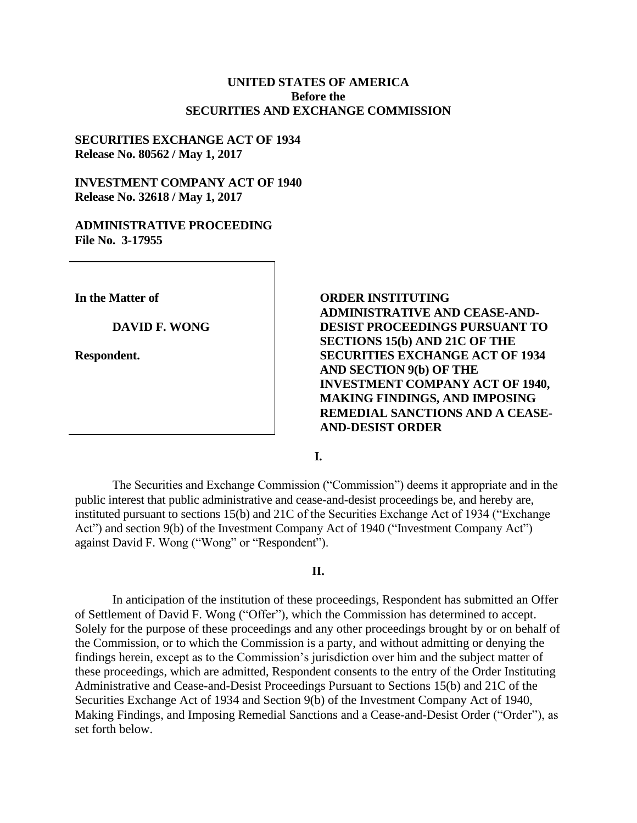## **UNITED STATES OF AMERICA Before the SECURITIES AND EXCHANGE COMMISSION**

## **SECURITIES EXCHANGE ACT OF 1934 Release No. 80562 / May 1, 2017**

## **INVESTMENT COMPANY ACT OF 1940 Release No. 32618 / May 1, 2017**

### **ADMINISTRATIVE PROCEEDING File No. 3-17955**

**In the Matter of**

#### **DAVID F. WONG**

**Respondent.**

**ORDER INSTITUTING ADMINISTRATIVE AND CEASE-AND-DESIST PROCEEDINGS PURSUANT TO SECTIONS 15(b) AND 21C OF THE SECURITIES EXCHANGE ACT OF 1934 AND SECTION 9(b) OF THE INVESTMENT COMPANY ACT OF 1940, MAKING FINDINGS, AND IMPOSING REMEDIAL SANCTIONS AND A CEASE-AND-DESIST ORDER**

**I.**

The Securities and Exchange Commission ("Commission") deems it appropriate and in the public interest that public administrative and cease-and-desist proceedings be, and hereby are, instituted pursuant to sections 15(b) and 21C of the Securities Exchange Act of 1934 ("Exchange Act") and section 9(b) of the Investment Company Act of 1940 ("Investment Company Act") against David F. Wong ("Wong" or "Respondent").

### **II.**

In anticipation of the institution of these proceedings, Respondent has submitted an Offer of Settlement of David F. Wong ("Offer"), which the Commission has determined to accept. Solely for the purpose of these proceedings and any other proceedings brought by or on behalf of the Commission, or to which the Commission is a party, and without admitting or denying the findings herein, except as to the Commission's jurisdiction over him and the subject matter of these proceedings, which are admitted, Respondent consents to the entry of the Order Instituting Administrative and Cease-and-Desist Proceedings Pursuant to Sections 15(b) and 21C of the Securities Exchange Act of 1934 and Section 9(b) of the Investment Company Act of 1940, Making Findings, and Imposing Remedial Sanctions and a Cease-and-Desist Order ("Order"), as set forth below.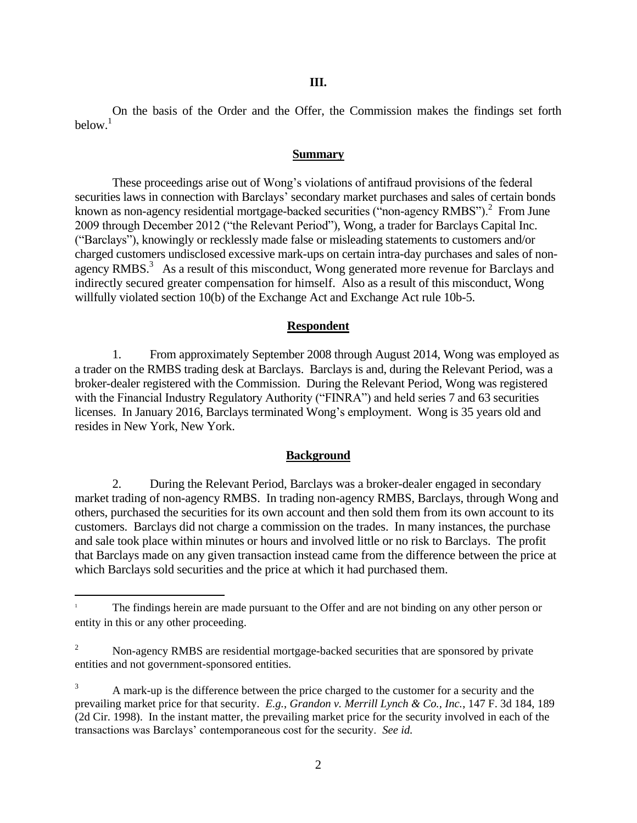On the basis of the Order and the Offer, the Commission makes the findings set forth  $below<sup>1</sup>$ 

#### **Summary**

These proceedings arise out of Wong's violations of antifraud provisions of the federal securities laws in connection with Barclays' secondary market purchases and sales of certain bonds known as non-agency residential mortgage-backed securities ( $\cdot$ non-agency RMBS").<sup>2</sup> From June 2009 through December 2012 ("the Relevant Period"), Wong, a trader for Barclays Capital Inc. ("Barclays"), knowingly or recklessly made false or misleading statements to customers and/or charged customers undisclosed excessive mark-ups on certain intra-day purchases and sales of nonagency RMBS. $3$  As a result of this misconduct, Wong generated more revenue for Barclays and indirectly secured greater compensation for himself. Also as a result of this misconduct, Wong willfully violated section 10(b) of the Exchange Act and Exchange Act rule 10b-5.

### **Respondent**

1. From approximately September 2008 through August 2014, Wong was employed as a trader on the RMBS trading desk at Barclays. Barclays is and, during the Relevant Period, was a broker-dealer registered with the Commission. During the Relevant Period, Wong was registered with the Financial Industry Regulatory Authority ("FINRA") and held series 7 and 63 securities licenses. In January 2016, Barclays terminated Wong's employment. Wong is 35 years old and resides in New York, New York.

#### **Background**

2. During the Relevant Period, Barclays was a broker-dealer engaged in secondary market trading of non-agency RMBS. In trading non-agency RMBS, Barclays, through Wong and others, purchased the securities for its own account and then sold them from its own account to its customers. Barclays did not charge a commission on the trades. In many instances, the purchase and sale took place within minutes or hours and involved little or no risk to Barclays. The profit that Barclays made on any given transaction instead came from the difference between the price at which Barclays sold securities and the price at which it had purchased them.

 $\overline{\phantom{a}}$ 

<sup>&</sup>lt;sup>1</sup> The findings herein are made pursuant to the Offer and are not binding on any other person or entity in this or any other proceeding.

<sup>&</sup>lt;sup>2</sup> Non-agency RMBS are residential mortgage-backed securities that are sponsored by private entities and not government-sponsored entities.

<sup>&</sup>lt;sup>3</sup> A mark-up is the difference between the price charged to the customer for a security and the prevailing market price for that security. *E.g.*, *Grandon v. Merrill Lynch & Co., Inc.*, 147 F. 3d 184, 189 (2d Cir. 1998). In the instant matter, the prevailing market price for the security involved in each of the transactions was Barclays' contemporaneous cost for the security. *See id.*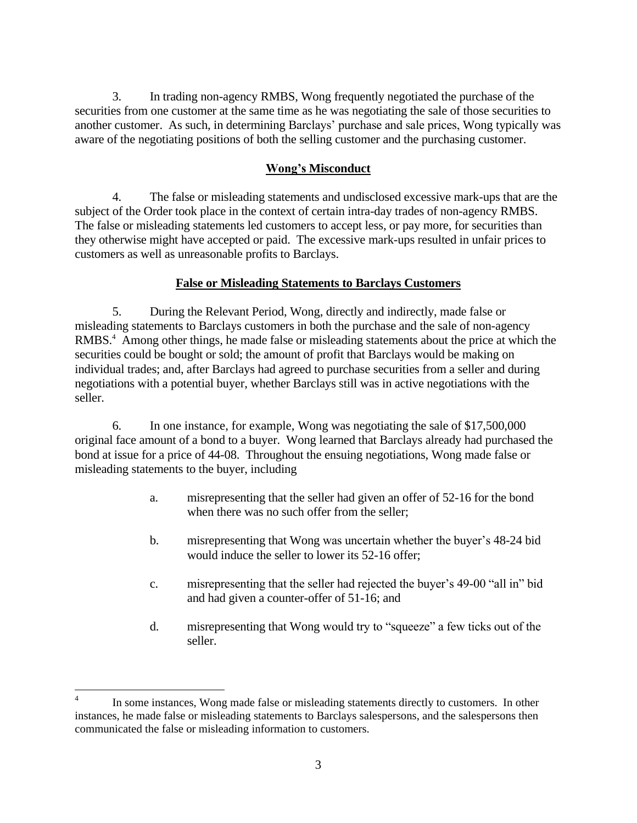3. In trading non-agency RMBS, Wong frequently negotiated the purchase of the securities from one customer at the same time as he was negotiating the sale of those securities to another customer. As such, in determining Barclays' purchase and sale prices, Wong typically was aware of the negotiating positions of both the selling customer and the purchasing customer.

# **Wong's Misconduct**

4. The false or misleading statements and undisclosed excessive mark-ups that are the subject of the Order took place in the context of certain intra-day trades of non-agency RMBS. The false or misleading statements led customers to accept less, or pay more, for securities than they otherwise might have accepted or paid. The excessive mark-ups resulted in unfair prices to customers as well as unreasonable profits to Barclays.

# **False or Misleading Statements to Barclays Customers**

5. During the Relevant Period, Wong, directly and indirectly, made false or misleading statements to Barclays customers in both the purchase and the sale of non-agency RMBS.<sup>4</sup> Among other things, he made false or misleading statements about the price at which the securities could be bought or sold; the amount of profit that Barclays would be making on individual trades; and, after Barclays had agreed to purchase securities from a seller and during negotiations with a potential buyer, whether Barclays still was in active negotiations with the seller.

6. In one instance, for example, Wong was negotiating the sale of \$17,500,000 original face amount of a bond to a buyer. Wong learned that Barclays already had purchased the bond at issue for a price of 44-08. Throughout the ensuing negotiations, Wong made false or misleading statements to the buyer, including

- a. misrepresenting that the seller had given an offer of 52-16 for the bond when there was no such offer from the seller;
- b. misrepresenting that Wong was uncertain whether the buyer's 48-24 bid would induce the seller to lower its 52-16 offer;
- c. misrepresenting that the seller had rejected the buyer's 49-00 "all in" bid and had given a counter-offer of 51-16; and
- d. misrepresenting that Wong would try to "squeeze" a few ticks out of the seller.

 $\overline{\phantom{a}}$ 4 In some instances, Wong made false or misleading statements directly to customers. In other instances, he made false or misleading statements to Barclays salespersons, and the salespersons then communicated the false or misleading information to customers.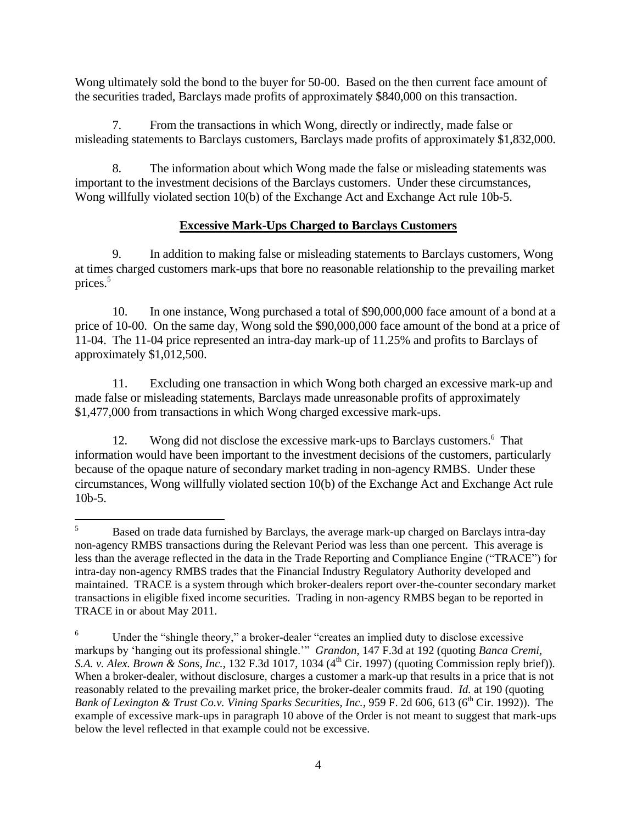Wong ultimately sold the bond to the buyer for 50-00. Based on the then current face amount of the securities traded, Barclays made profits of approximately \$840,000 on this transaction.

7. From the transactions in which Wong, directly or indirectly, made false or misleading statements to Barclays customers, Barclays made profits of approximately \$1,832,000.

8. The information about which Wong made the false or misleading statements was important to the investment decisions of the Barclays customers. Under these circumstances, Wong willfully violated section 10(b) of the Exchange Act and Exchange Act rule 10b-5.

# **Excessive Mark-Ups Charged to Barclays Customers**

9. In addition to making false or misleading statements to Barclays customers, Wong at times charged customers mark-ups that bore no reasonable relationship to the prevailing market prices.<sup>5</sup>

10. In one instance, Wong purchased a total of \$90,000,000 face amount of a bond at a price of 10-00. On the same day, Wong sold the \$90,000,000 face amount of the bond at a price of 11-04. The 11-04 price represented an intra-day mark-up of 11.25% and profits to Barclays of approximately \$1,012,500.

11. Excluding one transaction in which Wong both charged an excessive mark-up and made false or misleading statements, Barclays made unreasonable profits of approximately \$1,477,000 from transactions in which Wong charged excessive mark-ups.

12. Wong did not disclose the excessive mark-ups to Barclays customers.<sup>6</sup> That information would have been important to the investment decisions of the customers, particularly because of the opaque nature of secondary market trading in non-agency RMBS. Under these circumstances, Wong willfully violated section 10(b) of the Exchange Act and Exchange Act rule 10b-5.

 $5<sup>1</sup>$ <sup>5</sup> Based on trade data furnished by Barclays, the average mark-up charged on Barclays intra-day non-agency RMBS transactions during the Relevant Period was less than one percent. This average is less than the average reflected in the data in the Trade Reporting and Compliance Engine ("TRACE") for intra-day non-agency RMBS trades that the Financial Industry Regulatory Authority developed and maintained. TRACE is a system through which broker-dealers report over-the-counter secondary market transactions in eligible fixed income securities. Trading in non-agency RMBS began to be reported in TRACE in or about May 2011.

<sup>&</sup>lt;sup>6</sup> Under the "shingle theory," a broker-dealer "creates an implied duty to disclose excessive markups by 'hanging out its professional shingle.'" *Grandon*, 147 F.3d at 192 (quoting *Banca Cremi, S.A. v. Alex. Brown & Sons, Inc.*, 132 F.3d 1017, 1034 (4<sup>th</sup> Cir. 1997) (quoting Commission reply brief)). When a broker-dealer, without disclosure, charges a customer a mark-up that results in a price that is not reasonably related to the prevailing market price, the broker-dealer commits fraud. *Id.* at 190 (quoting Bank of Lexington & Trust Co.v. Vining Sparks Securities, Inc., 959 F. 2d 606, 613 (6<sup>th</sup> Cir. 1992)). The example of excessive mark-ups in paragraph 10 above of the Order is not meant to suggest that mark-ups below the level reflected in that example could not be excessive.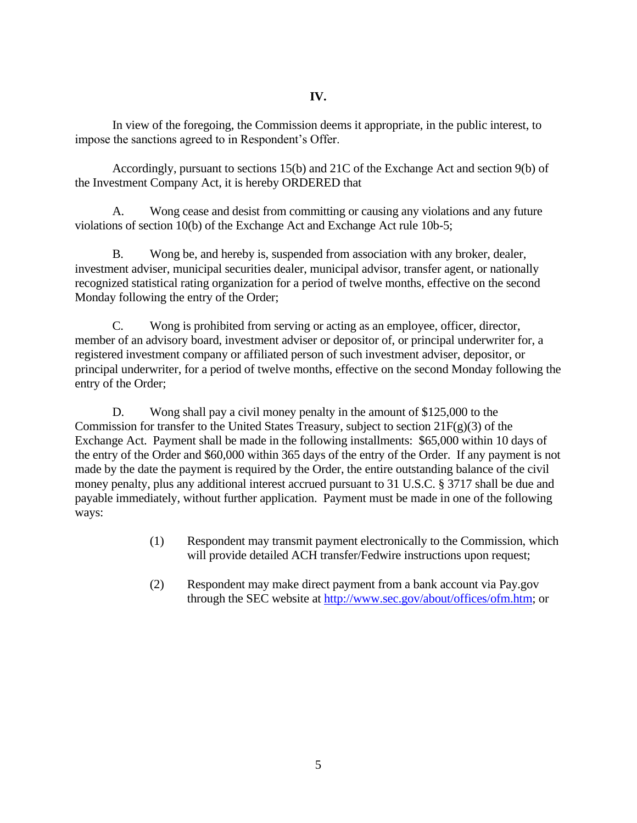In view of the foregoing, the Commission deems it appropriate, in the public interest, to impose the sanctions agreed to in Respondent's Offer.

Accordingly, pursuant to sections 15(b) and 21C of the Exchange Act and section 9(b) of the Investment Company Act, it is hereby ORDERED that

A. Wong cease and desist from committing or causing any violations and any future violations of section 10(b) of the Exchange Act and Exchange Act rule 10b-5;

B. Wong be, and hereby is, suspended from association with any broker, dealer, investment adviser, municipal securities dealer, municipal advisor, transfer agent, or nationally recognized statistical rating organization for a period of twelve months, effective on the second Monday following the entry of the Order;

C. Wong is prohibited from serving or acting as an employee, officer, director, member of an advisory board, investment adviser or depositor of, or principal underwriter for, a registered investment company or affiliated person of such investment adviser, depositor, or principal underwriter, for a period of twelve months, effective on the second Monday following the entry of the Order;

D. Wong shall pay a civil money penalty in the amount of \$125,000 to the Commission for transfer to the United States Treasury, subject to section  $21F(g)(3)$  of the Exchange Act. Payment shall be made in the following installments: \$65,000 within 10 days of the entry of the Order and \$60,000 within 365 days of the entry of the Order. If any payment is not made by the date the payment is required by the Order, the entire outstanding balance of the civil money penalty, plus any additional interest accrued pursuant to 31 U.S.C. § 3717 shall be due and payable immediately, without further application. Payment must be made in one of the following ways:

- (1) Respondent may transmit payment electronically to the Commission, which will provide detailed ACH transfer/Fedwire instructions upon request;
- (2) Respondent may make direct payment from a bank account via Pay.gov through the SEC website at [http://www.sec.gov/about/offices/ofm.htm;](http://www.sec.gov/about/offices/ofm.htm) or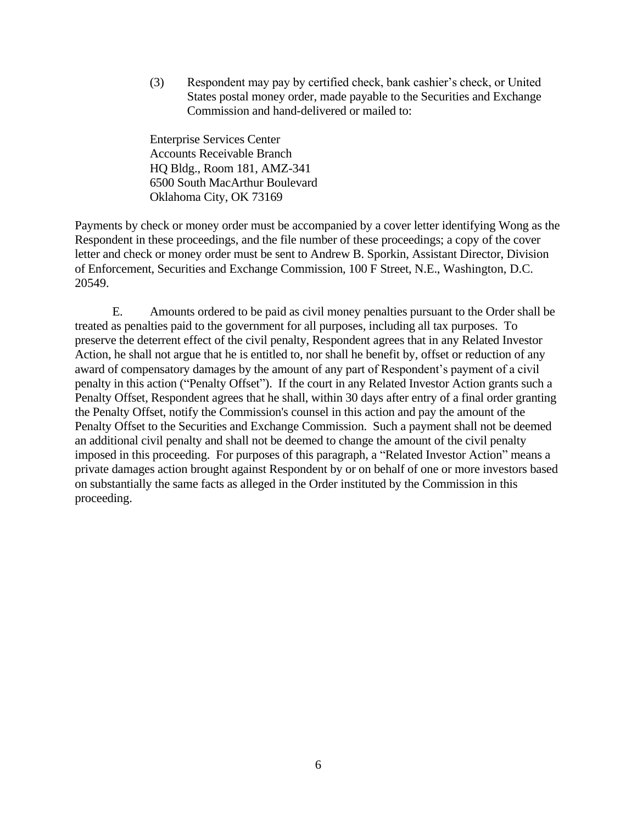(3) Respondent may pay by certified check, bank cashier's check, or United States postal money order, made payable to the Securities and Exchange Commission and hand-delivered or mailed to:

Enterprise Services Center Accounts Receivable Branch HQ Bldg., Room 181, AMZ-341 6500 South MacArthur Boulevard Oklahoma City, OK 73169

Payments by check or money order must be accompanied by a cover letter identifying Wong as the Respondent in these proceedings, and the file number of these proceedings; a copy of the cover letter and check or money order must be sent to Andrew B. Sporkin, Assistant Director, Division of Enforcement, Securities and Exchange Commission, 100 F Street, N.E., Washington, D.C. 20549.

E. Amounts ordered to be paid as civil money penalties pursuant to the Order shall be treated as penalties paid to the government for all purposes, including all tax purposes. To preserve the deterrent effect of the civil penalty, Respondent agrees that in any Related Investor Action, he shall not argue that he is entitled to, nor shall he benefit by, offset or reduction of any award of compensatory damages by the amount of any part of Respondent's payment of a civil penalty in this action ("Penalty Offset"). If the court in any Related Investor Action grants such a Penalty Offset, Respondent agrees that he shall, within 30 days after entry of a final order granting the Penalty Offset, notify the Commission's counsel in this action and pay the amount of the Penalty Offset to the Securities and Exchange Commission. Such a payment shall not be deemed an additional civil penalty and shall not be deemed to change the amount of the civil penalty imposed in this proceeding. For purposes of this paragraph, a "Related Investor Action" means a private damages action brought against Respondent by or on behalf of one or more investors based on substantially the same facts as alleged in the Order instituted by the Commission in this proceeding.